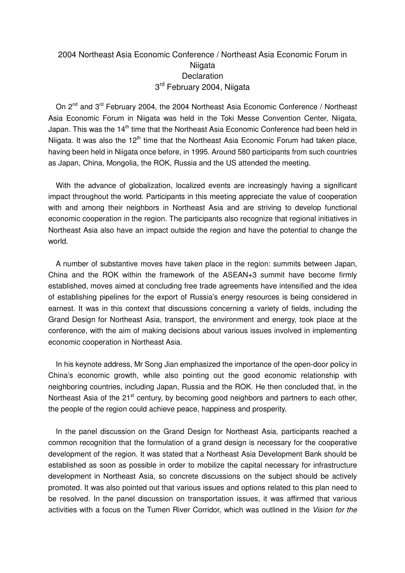## 2004 Northeast Asia Economic Conference / Northeast Asia Economic Forum in **Niigata Declaration** 3<sup>rd</sup> February 2004, Niigata

On 2<sup>nd</sup> and 3<sup>rd</sup> February 2004, the 2004 Northeast Asia Economic Conference / Northeast Asia Economic Forum in Niigata was held in the Toki Messe Convention Center, Niigata, Japan. This was the 14<sup>th</sup> time that the Northeast Asia Economic Conference had been held in Niigata. It was also the  $12<sup>th</sup>$  time that the Northeast Asia Economic Forum had taken place, having been held in Niigata once before, in 1995. Around 580 participants from such countries as Japan, China, Mongolia, the ROK, Russia and the US attended the meeting.

With the advance of globalization, localized events are increasingly having a significant impact throughout the world. Participants in this meeting appreciate the value of cooperation with and among their neighbors in Northeast Asia and are striving to develop functional economic cooperation in the region. The participants also recognize that regional initiatives in Northeast Asia also have an impact outside the region and have the potential to change the world.

A number of substantive moves have taken place in the region: summits between Japan, China and the ROK within the framework of the ASEAN+3 summit have become firmly established, moves aimed at concluding free trade agreements have intensified and the idea of establishing pipelines for the export of Russia's energy resources is being considered in earnest. It was in this context that discussions concerning a variety of fields, including the Grand Design for Northeast Asia, transport, the environment and energy, took place at the conference, with the aim of making decisions about various issues involved in implementing economic cooperation in Northeast Asia.

In his keynote address, Mr Song Jian emphasized the importance of the open-door policy in China's economic growth, while also pointing out the good economic relationship with neighboring countries, including Japan, Russia and the ROK. He then concluded that, in the Northeast Asia of the 21<sup>st</sup> century, by becoming good neighbors and partners to each other, the people of the region could achieve peace, happiness and prosperity.

In the panel discussion on the Grand Design for Northeast Asia, participants reached a common recognition that the formulation of a grand design is necessary for the cooperative development of the region. It was stated that a Northeast Asia Development Bank should be established as soon as possible in order to mobilize the capital necessary for infrastructure development in Northeast Asia, so concrete discussions on the subject should be actively promoted. It was also pointed out that various issues and options related to this plan need to be resolved. In the panel discussion on transportation issues, it was affirmed that various activities with a focus on the Tumen River Corridor, which was outlined in the Vision for the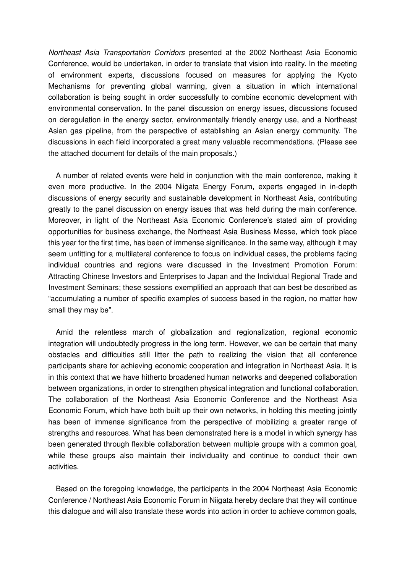Northeast Asia Transportation Corridors presented at the 2002 Northeast Asia Economic Conference, would be undertaken, in order to translate that vision into reality. In the meeting of environment experts, discussions focused on measures for applying the Kyoto Mechanisms for preventing global warming, given a situation in which international collaboration is being sought in order successfully to combine economic development with environmental conservation. In the panel discussion on energy issues, discussions focused on deregulation in the energy sector, environmentally friendly energy use, and a Northeast Asian gas pipeline, from the perspective of establishing an Asian energy community. The discussions in each field incorporated a great many valuable recommendations. (Please see the attached document for details of the main proposals.)

A number of related events were held in conjunction with the main conference, making it even more productive. In the 2004 Niigata Energy Forum, experts engaged in in-depth discussions of energy security and sustainable development in Northeast Asia, contributing greatly to the panel discussion on energy issues that was held during the main conference. Moreover, in light of the Northeast Asia Economic Conference's stated aim of providing opportunities for business exchange, the Northeast Asia Business Messe, which took place this year for the first time, has been of immense significance. In the same way, although it may seem unfitting for a multilateral conference to focus on individual cases, the problems facing individual countries and regions were discussed in the Investment Promotion Forum: Attracting Chinese Investors and Enterprises to Japan and the Individual Regional Trade and Investment Seminars; these sessions exemplified an approach that can best be described as "accumulating a number of specific examples of success based in the region, no matter how small they may be".

Amid the relentless march of globalization and regionalization, regional economic integration will undoubtedly progress in the long term. However, we can be certain that many obstacles and difficulties still litter the path to realizing the vision that all conference participants share for achieving economic cooperation and integration in Northeast Asia. It is in this context that we have hitherto broadened human networks and deepened collaboration between organizations, in order to strengthen physical integration and functional collaboration. The collaboration of the Northeast Asia Economic Conference and the Northeast Asia Economic Forum, which have both built up their own networks, in holding this meeting jointly has been of immense significance from the perspective of mobilizing a greater range of strengths and resources. What has been demonstrated here is a model in which synergy has been generated through flexible collaboration between multiple groups with a common goal, while these groups also maintain their individuality and continue to conduct their own activities.

Based on the foregoing knowledge, the participants in the 2004 Northeast Asia Economic Conference / Northeast Asia Economic Forum in Niigata hereby declare that they will continue this dialogue and will also translate these words into action in order to achieve common goals,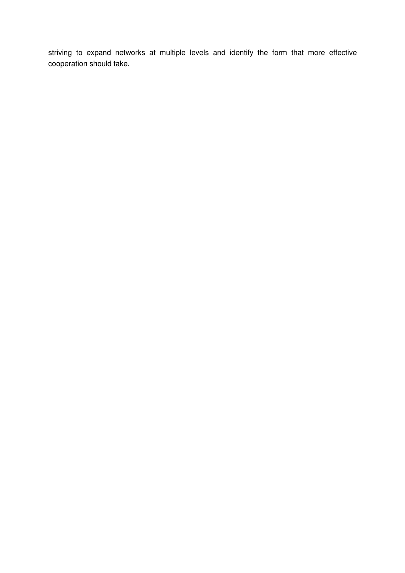striving to expand networks at multiple levels and identify the form that more effective cooperation should take.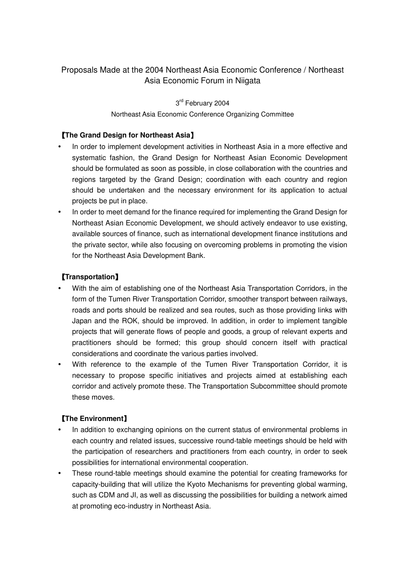# Proposals Made at the 2004 Northeast Asia Economic Conference / Northeast Asia Economic Forum in Niigata

3<sup>rd</sup> February 2004

#### Northeast Asia Economic Conference Organizing Committee

#### 【**The Grand Design for Northeast Asia**】

- In order to implement development activities in Northeast Asia in a more effective and systematic fashion, the Grand Design for Northeast Asian Economic Development should be formulated as soon as possible, in close collaboration with the countries and regions targeted by the Grand Design; coordination with each country and region should be undertaken and the necessary environment for its application to actual projects be put in place.
- In order to meet demand for the finance required for implementing the Grand Design for Northeast Asian Economic Development, we should actively endeavor to use existing, available sources of finance, such as international development finance institutions and the private sector, while also focusing on overcoming problems in promoting the vision for the Northeast Asia Development Bank.

## 【**Transportation**】

- With the aim of establishing one of the Northeast Asia Transportation Corridors, in the form of the Tumen River Transportation Corridor, smoother transport between railways, roads and ports should be realized and sea routes, such as those providing links with Japan and the ROK, should be improved. In addition, in order to implement tangible projects that will generate flows of people and goods, a group of relevant experts and practitioners should be formed; this group should concern itself with practical considerations and coordinate the various parties involved.
- With reference to the example of the Tumen River Transportation Corridor, it is necessary to propose specific initiatives and projects aimed at establishing each corridor and actively promote these. The Transportation Subcommittee should promote these moves.

## 【**The Environment**】

- In addition to exchanging opinions on the current status of environmental problems in each country and related issues, successive round-table meetings should be held with the participation of researchers and practitioners from each country, in order to seek possibilities for international environmental cooperation.
- These round-table meetings should examine the potential for creating frameworks for capacity-building that will utilize the Kyoto Mechanisms for preventing global warming, such as CDM and JI, as well as discussing the possibilities for building a network aimed at promoting eco-industry in Northeast Asia.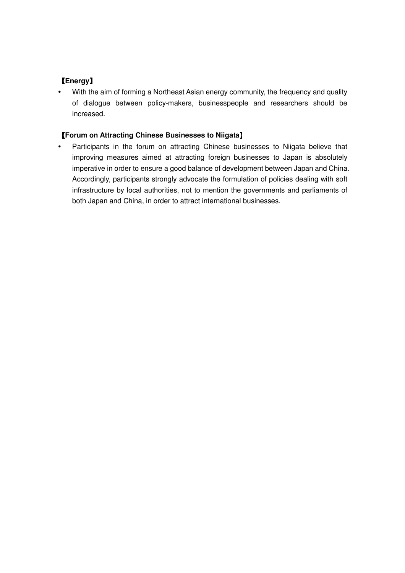# 【**Energy**】

 With the aim of forming a Northeast Asian energy community, the frequency and quality of dialogue between policy-makers, businesspeople and researchers should be increased.

## 【**Forum on Attracting Chinese Businesses to Niigata**】

• Participants in the forum on attracting Chinese businesses to Niigata believe that improving measures aimed at attracting foreign businesses to Japan is absolutely imperative in order to ensure a good balance of development between Japan and China. Accordingly, participants strongly advocate the formulation of policies dealing with soft infrastructure by local authorities, not to mention the governments and parliaments of both Japan and China, in order to attract international businesses.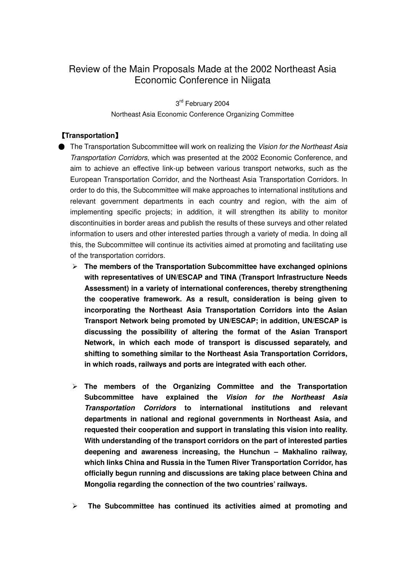# Review of the Main Proposals Made at the 2002 Northeast Asia Economic Conference in Niigata

3<sup>rd</sup> February 2004 Northeast Asia Economic Conference Organizing Committee

## 【**Transportation**】

- **The Transportation Subcommittee will work on realizing the Vision for the Northeast Asia** Transportation Corridors, which was presented at the 2002 Economic Conference, and aim to achieve an effective link-up between various transport networks, such as the European Transportation Corridor, and the Northeast Asia Transportation Corridors. In order to do this, the Subcommittee will make approaches to international institutions and relevant government departments in each country and region, with the aim of implementing specific projects; in addition, it will strengthen its ability to monitor discontinuities in border areas and publish the results of these surveys and other related information to users and other interested parties through a variety of media. In doing all this, the Subcommittee will continue its activities aimed at promoting and facilitating use of the transportation corridors.
	- **The members of the Transportation Subcommittee have exchanged opinions with representatives of UN/ESCAP and TINA (Transport Infrastructure Needs Assessment) in a variety of international conferences, thereby strengthening the cooperative framework. As a result, consideration is being given to incorporating the Northeast Asia Transportation Corridors into the Asian Transport Network being promoted by UN/ESCAP; in addition, UN/ESCAP is discussing the possibility of altering the format of the Asian Transport Network, in which each mode of transport is discussed separately, and shifting to something similar to the Northeast Asia Transportation Corridors, in which roads, railways and ports are integrated with each other.**
	- **The members of the Organizing Committee and the Transportation Subcommittee have explained the Vision for the Northeast Asia Transportation Corridors to international institutions and relevant departments in national and regional governments in Northeast Asia, and requested their cooperation and support in translating this vision into reality. With understanding of the transport corridors on the part of interested parties deepening and awareness increasing, the Hunchun – Makhalino railway, which links China and Russia in the Tumen River Transportation Corridor, has officially begun running and discussions are taking place between China and Mongolia regarding the connection of the two countries' railways.**
	- $\blacktriangleright$  **The Subcommittee has continued its activities aimed at promoting and**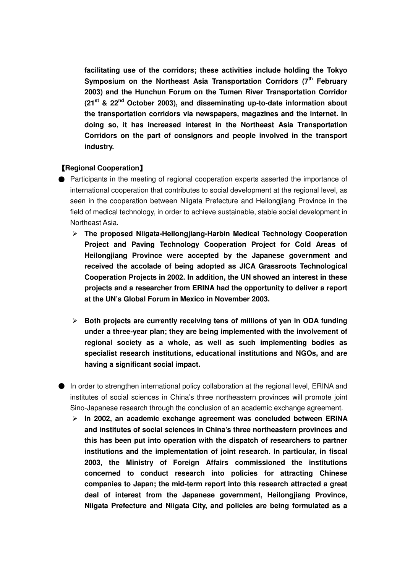**facilitating use of the corridors; these activities include holding the Tokyo Symposium on the Northeast Asia Transportation Corridors (7th February 2003) and the Hunchun Forum on the Tumen River Transportation Corridor (21st & 22nd October 2003), and disseminating up-to-date information about the transportation corridors via newspapers, magazines and the internet. In doing so, it has increased interest in the Northeast Asia Transportation Corridors on the part of consignors and people involved in the transport industry.** 

#### 【**Regional Cooperation**】

- Participants in the meeting of regional cooperation experts asserted the importance of international cooperation that contributes to social development at the regional level, as seen in the cooperation between Niigata Prefecture and Heilongjiang Province in the field of medical technology, in order to achieve sustainable, stable social development in Northeast Asia.
	- **The proposed Niigata-Heilongjiang-Harbin Medical Technology Cooperation Project and Paving Technology Cooperation Project for Cold Areas of Heilongjiang Province were accepted by the Japanese government and received the accolade of being adopted as JICA Grassroots Technological Cooperation Projects in 2002. In addition, the UN showed an interest in these projects and a researcher from ERINA had the opportunity to deliver a report at the UN's Global Forum in Mexico in November 2003.**
	- **►** Both projects are currently receiving tens of millions of yen in ODA funding **under a three-year plan; they are being implemented with the involvement of regional society as a whole, as well as such implementing bodies as specialist research institutions, educational institutions and NGOs, and are having a significant social impact.**
- In order to strengthen international policy collaboration at the regional level, ERINA and institutes of social sciences in China's three northeastern provinces will promote joint Sino-Japanese research through the conclusion of an academic exchange agreement.
	- **In 2002, an academic exchange agreement was concluded between ERINA and institutes of social sciences in China's three northeastern provinces and this has been put into operation with the dispatch of researchers to partner institutions and the implementation of joint research. In particular, in fiscal 2003, the Ministry of Foreign Affairs commissioned the institutions concerned to conduct research into policies for attracting Chinese companies to Japan; the mid-term report into this research attracted a great deal of interest from the Japanese government, Heilongjiang Province, Niigata Prefecture and Niigata City, and policies are being formulated as a**